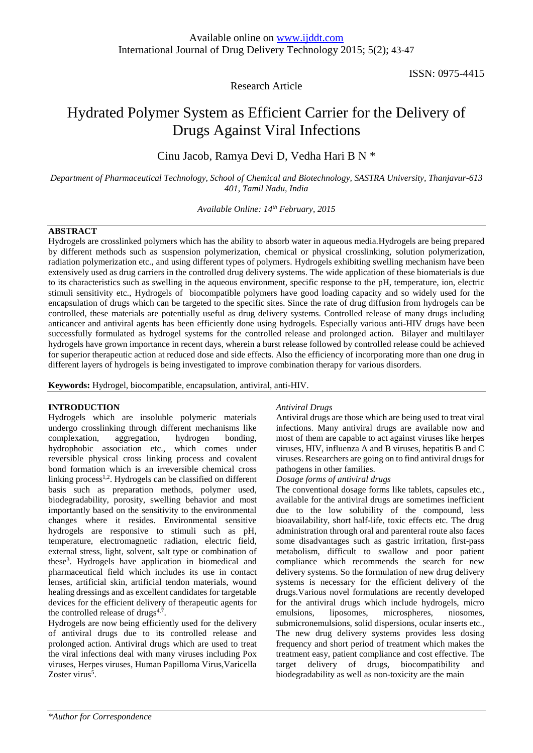ISSN: 0975-4415

## Research Article

# Hydrated Polymer System as Efficient Carrier for the Delivery of Drugs Against Viral Infections

Cinu Jacob, Ramya Devi D, Vedha Hari B N \*

*Department of Pharmaceutical Technology, School of Chemical and Biotechnology, SASTRA University, Thanjavur-613 401, Tamil Nadu, India*

*Available Online: 14th February, 2015*

### **ABSTRACT**

Hydrogels are crosslinked polymers which has the ability to absorb water in aqueous media.Hydrogels are being prepared by different methods such as suspension polymerization, chemical or physical crosslinking, solution polymerization, radiation polymerization etc., and using different types of polymers. Hydrogels exhibiting swelling mechanism have been extensively used as drug carriers in the controlled drug delivery systems. The wide application of these biomaterials is due to its characteristics such as swelling in the aqueous environment, specific response to the pH, temperature, ion, electric stimuli sensitivity etc., Hydrogels of biocompatible polymers have good loading capacity and so widely used for the encapsulation of drugs which can be targeted to the specific sites. Since the rate of drug diffusion from hydrogels can be controlled, these materials are potentially useful as drug delivery systems. Controlled release of many drugs including anticancer and antiviral agents has been efficiently done using hydrogels. Especially various anti-HIV drugs have been successfully formulated as hydrogel systems for the controlled release and prolonged action. Bilayer and multilayer hydrogels have grown importance in recent days, wherein a burst release followed by controlled release could be achieved for superior therapeutic action at reduced dose and side effects. Also the efficiency of incorporating more than one drug in different layers of hydrogels is being investigated to improve combination therapy for various disorders.

**Keywords:** Hydrogel, biocompatible, encapsulation, antiviral, anti-HIV.

## **INTRODUCTION**

Hydrogels which are insoluble polymeric materials undergo crosslinking through different mechanisms like complexation, aggregation, hydrogen bonding, hydrophobic association etc., which comes under reversible physical cross linking process and covalent bond formation which is an irreversible chemical cross linking process<sup>1,2</sup>. Hydrogels can be classified on different basis such as preparation methods, polymer used, biodegradability, porosity, swelling behavior and most importantly based on the sensitivity to the environmental changes where it resides. Environmental sensitive hydrogels are responsive to stimuli such as pH, temperature, electromagnetic radiation, electric field, external stress, light, solvent, salt type or combination of these<sup>3</sup> . Hydrogels have application in biomedical and pharmaceutical field which includes its use in contact lenses, artificial skin, artificial tendon materials, wound healing dressings and as excellent candidates for targetable devices for the efficient delivery of therapeutic agents for the controlled release of drugs $4.7$ .

Hydrogels are now being efficiently used for the delivery of antiviral drugs due to its controlled release and prolonged action. Antiviral drugs which are used to treat the viral infections deal with many viruses including Pox viruses, Herpes viruses, Human Papilloma Virus,Varicella Zoster virus<sup>5</sup>.

#### *Antiviral Drugs*

Antiviral drugs are those which are being used to treat viral infections. Many antiviral drugs are available now and most of them are capable to act against viruses like herpes viruses, HIV, influenza A and B viruses, hepatitis B and C viruses. Researchers are going on to find antiviral drugs for pathogens in other families.

#### *Dosage forms of antiviral drugs*

The conventional dosage forms like tablets, capsules etc., available for the antiviral drugs are sometimes inefficient due to the low solubility of the compound, less bioavailability, short half-life, toxic effects etc. The drug administration through oral and parenteral route also faces some disadvantages such as gastric irritation, first-pass metabolism, difficult to swallow and poor patient compliance which recommends the search for new delivery systems. So the formulation of new drug delivery systems is necessary for the efficient delivery of the drugs.Various novel formulations are recently developed for the antiviral drugs which include hydrogels, micro emulsions, liposomes, microspheres, niosomes, submicronemulsions, solid dispersions, ocular inserts etc., The new drug delivery systems provides less dosing frequency and short period of treatment which makes the treatment easy, patient compliance and cost effective. The target delivery of drugs, biocompatibility and biodegradability as well as non-toxicity are the main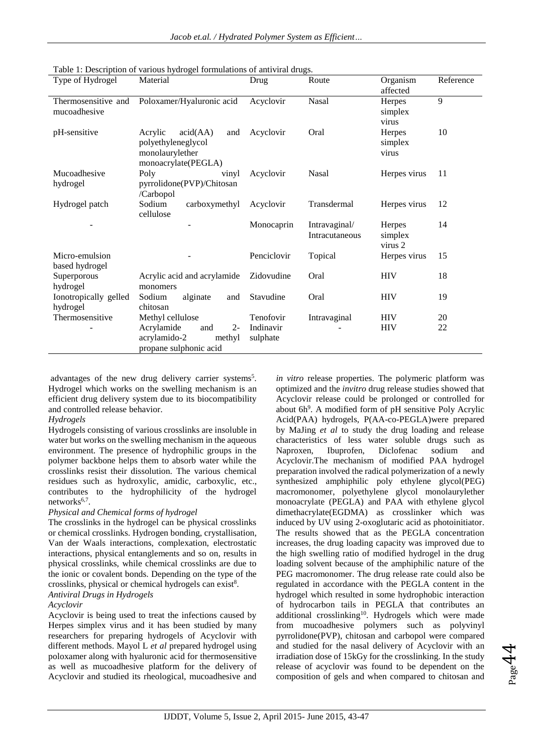| Type of Hydrogel                    | Material                                                                                   | Drug                  | Route                           | Organism<br>affected         | Reference |
|-------------------------------------|--------------------------------------------------------------------------------------------|-----------------------|---------------------------------|------------------------------|-----------|
| Thermosensitive and<br>mucoadhesive | Poloxamer/Hyaluronic acid                                                                  | Acyclovir             | <b>Nasal</b>                    | Herpes<br>simplex<br>virus   | 9         |
| pH-sensitive                        | acid(AA)<br>Acrylic<br>and<br>polyethyleneglycol<br>monolaurylether<br>monoacrylate(PEGLA) | Acyclovir             | Oral                            | Herpes<br>simplex<br>virus   | 10        |
| Mucoadhesive                        | Poly<br>vinyl                                                                              | Acyclovir             | <b>Nasal</b>                    | Herpes virus                 | 11        |
| hydrogel                            | pyrrolidone(PVP)/Chitosan<br>/Carbopol                                                     |                       |                                 |                              |           |
| Hydrogel patch                      | Sodium<br>carboxymethyl<br>cellulose                                                       | Acyclovir             | Transdermal                     | Herpes virus                 | 12        |
|                                     |                                                                                            | Monocaprin            | Intravaginal/<br>Intracutaneous | Herpes<br>simplex<br>virus 2 | 14        |
| Micro-emulsion<br>based hydrogel    |                                                                                            | Penciclovir           | Topical                         | Herpes virus                 | 15        |
| Superporous<br>hydrogel             | Acrylic acid and acrylamide<br>monomers                                                    | Zidovudine            | Oral                            | <b>HIV</b>                   | 18        |
| Ionotropically gelled<br>hydrogel   | Sodium<br>alginate<br>and<br>chitosan                                                      | Stavudine             | Oral                            | <b>HIV</b>                   | 19        |
| Thermosensitive                     | Methyl cellulose                                                                           | Tenofovir             | Intravaginal                    | <b>HIV</b>                   | 20        |
|                                     | $2 -$<br>Acrylamide<br>and<br>acrylamido-2<br>methyl<br>propane sulphonic acid             | Indinavir<br>sulphate |                                 | <b>HIV</b>                   | 22        |

Table 1: Description of various hydrogel formulations of antiviral drugs.

advantages of the new drug delivery carrier systems<sup>5</sup>. Hydrogel which works on the swelling mechanism is an efficient drug delivery system due to its biocompatibility and controlled release behavior.

#### *Hydrogels*

Hydrogels consisting of various crosslinks are insoluble in water but works on the swelling mechanism in the aqueous environment. The presence of hydrophilic groups in the polymer backbone helps them to absorb water while the crosslinks resist their dissolution. The various chemical residues such as hydroxylic, amidic, carboxylic, etc., contributes to the hydrophilicity of the hydrogel networks<sup>6,7</sup>.

#### *Physical and Chemical forms of hydrogel*

The crosslinks in the hydrogel can be physical crosslinks or chemical crosslinks. Hydrogen bonding, crystallisation, Van der Waals interactions, complexation, electrostatic interactions, physical entanglements and so on, results in physical crosslinks, while chemical crosslinks are due to the ionic or covalent bonds. Depending on the type of the crosslinks, physical or chemical hydrogels can exist<sup>8</sup>. *Antiviral Drugs in Hydrogels*

#### *Acyclovir*

Acyclovir is being used to treat the infections caused by Herpes simplex virus and it has been studied by many researchers for preparing hydrogels of Acyclovir with different methods. Mayol L *et al* prepared hydrogel using poloxamer along with hyaluronic acid for thermosensitive as well as mucoadhesive platform for the delivery of Acyclovir and studied its rheological, mucoadhesive and *in vitro* release properties. The polymeric platform was optimized and the *invitro* drug release studies showed that Acyclovir release could be prolonged or controlled for about 6h<sup>9</sup>. A modified form of pH sensitive Poly Acrylic Acid(PAA) hydrogels, P(AA-co-PEGLA)were prepared by MaJing *et al* to study the drug loading and release characteristics of less water soluble drugs such as Naproxen, Ibuprofen, Diclofenac sodium and Acyclovir.The mechanism of modified PAA hydrogel preparation involved the radical polymerization of a newly synthesized amphiphilic poly ethylene glycol(PEG) macromonomer, polyethylene glycol monolaurylether monoacrylate (PEGLA) and PAA with ethylene glycol dimethacrylate(EGDMA) as crosslinker which was induced by UV using 2-oxoglutaric acid as photoinitiator. The results showed that as the PEGLA concentration increases, the drug loading capacity was improved due to the high swelling ratio of modified hydrogel in the drug loading solvent because of the amphiphilic nature of the PEG macromonomer. The drug release rate could also be regulated in accordance with the PEGLA content in the hydrogel which resulted in some hydrophobic interaction of hydrocarbon tails in PEGLA that contributes an additional crosslinking<sup>10</sup>. Hydrogels which were made from mucoadhesive polymers such as polyvinyl pyrrolidone(PVP), chitosan and carbopol were compared and studied for the nasal delivery of Acyclovir with an irradiation dose of 15kGy for the crosslinking. In the study release of acyclovir was found to be dependent on the composition of gels and when compared to chitosan and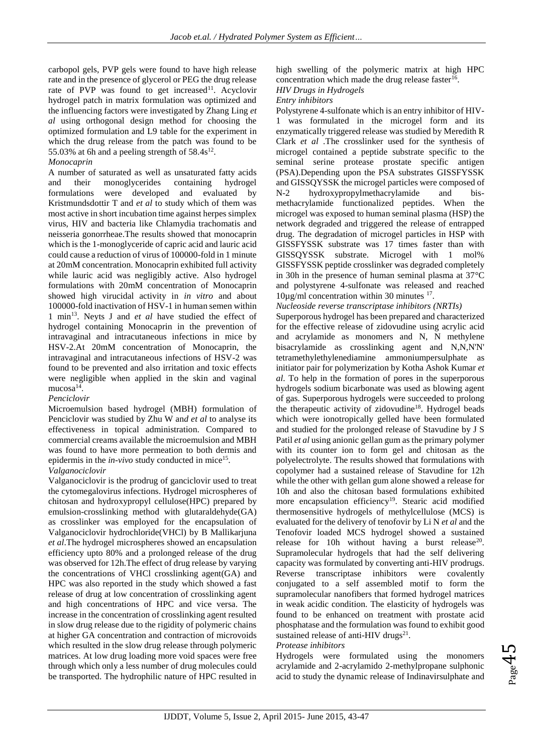carbopol gels, PVP gels were found to have high release rate and in the presence of glycerol or PEG the drug release rate of PVP was found to get increased<sup>11</sup>. Acyclovir hydrogel patch in matrix formulation was optimized and the influencing factors were investigated by Zhang Ling *et al* using orthogonal design method for choosing the optimized formulation and L9 table for the experiment in which the drug release from the patch was found to be 55.03% at 6h and a peeling strength of  $58.4s^{12}$ .

#### *Monocaprin*

A number of saturated as well as unsaturated fatty acids and their monoglycerides containing hydrogel formulations were developed and evaluated by Kristmundsdottir T and *et al* to study which of them was most active in short incubation time against herpes simplex virus, HIV and bacteria like Chlamydia trachomatis and neisseria gonorrheae.The results showed that monocaprin which is the 1-monoglyceride of capric acid and lauric acid could cause a reduction of virus of 100000-fold in 1 minute at 20mM concentration. Monocaprin exhibited full activity while lauric acid was negligibly active. Also hydrogel formulations with 20mM concentration of Monocaprin showed high virucidal activity in *in vitro* and about 100000-fold inactivation of HSV-1 in human semen within 1 min<sup>13</sup>. Neyts J and *et al* have studied the effect of hydrogel containing Monocaprin in the prevention of intravaginal and intracutaneous infections in mice by HSV-2.At 20mM concentration of Monocaprin, the intravaginal and intracutaneous infections of HSV-2 was found to be prevented and also irritation and toxic effects were negligible when applied in the skin and vaginal mucosa<sup>14</sup>.

#### *Penciclovir*

Microemulsion based hydrogel (MBH) formulation of Penciclovir was studied by Zhu W an*d et al* to analyse its effectiveness in topical administration. Compared to commercial creams available the microemulsion and MBH was found to have more permeation to both dermis and epidermis in the *in-vivo* study conducted in mice<sup>15</sup>.

## *Valganociclovir*

Valganociclovir is the prodrug of ganciclovir used to treat the cytomegalovirus infections. Hydrogel microspheres of chitosan and hydroxypropyl cellulose(HPC) prepared by emulsion-crosslinking method with glutaraldehyde(GA) as crosslinker was employed for the encapsulation of Valganociclovir hydrochloride(VHCl) by B Mallikarjuna *et al*.The hydrogel microspheres showed an encapsulation efficiency upto 80% and a prolonged release of the drug was observed for 12h.The effect of drug release by varying the concentrations of VHCl crosslinking agent(GA) and HPC was also reported in the study which showed a fast release of drug at low concentration of crosslinking agent and high concentrations of HPC and vice versa. The increase in the concentration of crosslinking agent resulted in slow drug release due to the rigidity of polymeric chains at higher GA concentration and contraction of microvoids which resulted in the slow drug release through polymeric matrices. At low drug loading more void spaces were free through which only a less number of drug molecules could be transported. The hydrophilic nature of HPC resulted in high swelling of the polymeric matrix at high HPC concentration which made the drug release faster<sup>16</sup>.

# *HIV Drugs in Hydrogels*

*Entry inhibitors*

Polystyrene 4-sulfonate which is an entry inhibitor of HIV-1 was formulated in the microgel form and its enzymatically triggered release was studied by Meredith R Clark *et al* .The crosslinker used for the synthesis of microgel contained a peptide substrate specific to the seminal serine protease prostate specific antigen (PSA).Depending upon the PSA substrates GISSFYSSK and GISSQYSSK the microgel particles were composed of N-2 hydroxypropylmethacrylamide and bismethacrylamide functionalized peptides. When the microgel was exposed to human seminal plasma (HSP) the network degraded and triggered the release of entrapped drug. The degradation of microgel particles in HSP with GISSFYSSK substrate was 17 times faster than with GISSQYSSK substrate. Microgel with 1 mol% GISSFYSSK peptide crosslinker was degraded completely in 30h in the presence of human seminal plasma at 37°C and polystyrene 4-sulfonate was released and reached 10µg/ml concentration within 30 minutes <sup>17</sup> .

#### *Nucleoside reverse transcriptase inhibitors (NRTIs)*

Superporous hydrogel has been prepared and characterized for the effective release of zidovudine using acrylic acid and acrylamide as monomers and N, N methylene bisacrylamide as crosslinking agent and N,N,N'N' tetramethylethylenediamine ammoniumpersulphate as initiator pair for polymerization by Kotha Ashok Kumar *et al*. To help in the formation of pores in the superporous hydrogels sodium bicarbonate was used as blowing agent of gas. Superporous hydrogels were succeeded to prolong the therapeutic activity of zidovudine<sup>18</sup>. Hydrogel beads which were ionotropically gelled have been formulated and studied for the prolonged release of Stavudine by J S Patil *et al* using anionic gellan gum as the primary polymer with its counter ion to form gel and chitosan as the polyelectrolyte. The results showed that formulations with copolymer had a sustained release of Stavudine for 12h while the other with gellan gum alone showed a release for 10h and also the chitosan based formulations exhibited more encapsulation efficiency<sup>19</sup>. Stearic acid modified thermosensitive hydrogels of methylcellulose (MCS) is evaluated for the delivery of tenofovir by Li N *et al* and the Tenofovir loaded MCS hydrogel showed a sustained release for 10h without having a burst release<sup>20</sup>. Supramolecular hydrogels that had the self delivering capacity was formulated by converting anti-HIV prodrugs. Reverse transcriptase inhibitors were covalently conjugated to a self assembled motif to form the supramolecular nanofibers that formed hydrogel matrices in weak acidic condition. The elasticity of hydrogels was found to be enhanced on treatment with prostate acid phosphatase and the formulation was found to exhibit good sustained release of anti-HIV drugs<sup>21</sup>.

#### *Protease inhibitors*

Hydrogels were formulated using the monomers acrylamide and 2-acrylamido 2-methylpropane sulphonic acid to study the dynamic release of Indinavirsulphate and

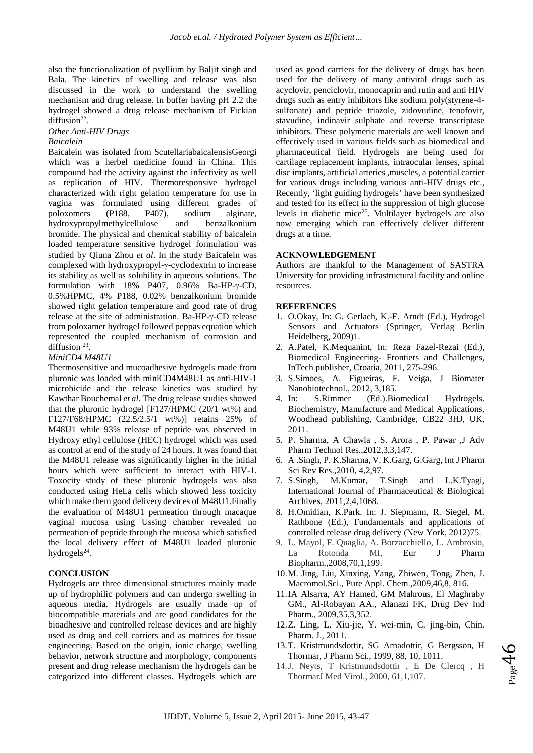also the functionalization of psyllium by Baljit singh and Bala. The kinetics of swelling and release was also discussed in the work to understand the swelling mechanism and drug release. In buffer having pH 2.2 the hydrogel showed a drug release mechanism of Fickian diffusion<sup>22</sup>.

*Other Anti-HIV Drugs*

#### *Baicalein*

Baicalein was isolated from ScutellariabaicalensisGeorgi which was a herbel medicine found in China. This compound had the activity against the infectivity as well as replication of HIV. Thermoresponsive hydrogel characterized with right gelation temperature for use in vagina was formulated using different grades of poloxomers (P188, P407), sodium alginate, hydroxypropylmethylcellulose and benzalkonium bromide. The physical and chemical stability of baicalein loaded temperature sensitive hydrogel formulation was studied by Qiuna Zhou *et al*. In the study Baicalein was complexed with hydroxypropyl-γ-cyclodextrin to increase its stability as well as solubility in aqueous solutions. The formulation with 18% P407, 0.96% Ba-HP-γ-CD, 0.5%HPMC, 4% P188, 0.02% benzalkonium bromide showed right gelation temperature and good rate of drug release at the site of administration. Ba-HP-γ-CD release from poloxamer hydrogel followed peppas equation which represented the coupled mechanism of corrosion and diffusion<sup>23</sup>.

#### *MiniCD4 M48U1*

Thermosensitive and mucoadhesive hydrogels made from pluronic was loaded with miniCD4M48U1 as anti-HIV-1 microbicide and the release kinetics was studied by Kawthar Bouchemal *et al*. The drug release studies showed that the pluronic hydrogel [F127/HPMC (20/1 wt%) and F127/F68/HPMC (22.5/2.5/1 wt%)] retains 25% of M48U1 while 93% release of peptide was observed in Hydroxy ethyl cellulose (HEC) hydrogel which was used as control at end of the study of 24 hours. It was found that the M48U1 release was significantly higher in the initial hours which were sufficient to interact with HIV-1. Toxocity study of these pluronic hydrogels was also conducted using HeLa cells which showed less toxicity which make them good delivery devices of M48U1.Finally the evaluation of M48U1 permeation through macaque vaginal mucosa using Ussing chamber revealed no permeation of peptide through the mucosa which satisfied the local delivery effect of M48U1 loaded pluronic hydrogels<sup>24</sup>.

#### **CONCLUSION**

Hydrogels are three dimensional structures mainly made up of hydrophilic polymers and can undergo swelling in aqueous media. Hydrogels are usually made up of biocompatible materials and are good candidates for the bioadhesive and controlled release devices and are highly used as drug and cell carriers and as matrices for tissue engineering. Based on the origin, ionic charge, swelling behavior, network structure and morphology, components present and drug release mechanism the hydrogels can be categorized into different classes. Hydrogels which are

used as good carriers for the delivery of drugs has been used for the delivery of many antiviral drugs such as acyclovir, penciclovir, monocaprin and rutin and anti HIV drugs such as entry inhibitors like sodium poly(styrene-4 sulfonate) and peptide triazole, zidovudine, tenofovir, stavudine, indinavir sulphate and reverse transcriptase inhibitors. These polymeric materials are well known and effectively used in various fields such as biomedical and pharmaceutical field. Hydrogels are being used for cartilage replacement implants, intraocular lenses, spinal disc implants, artificial arteries ,muscles, a potential carrier for various drugs including various anti-HIV drugs etc., Recently, 'light guiding hydrogels' have been synthesized and tested for its effect in the suppression of high glucose levels in diabetic mice<sup>25</sup>. Multilayer hydrogels are also now emerging which can effectively deliver different drugs at a time.

#### **ACKNOWLEDGEMENT**

Authors are thankful to the Management of SASTRA University for providing infrastructural facility and online resources.

#### **REFERENCES**

- 1. O.Okay, In: G. Gerlach, K.-F. Arndt (Ed.), Hydrogel Sensors and Actuators (Springer, Verlag Berlin Heidelberg, 2009)1.
- 2. A.Patel, K.Mequanint, In: Reza Fazel-Rezai (Ed.), Biomedical Engineering- Frontiers and Challenges, InTech publisher, Croatia, 2011, 275-296.
- 3. S.Simoes, A. Figueiras, F. Veiga, J Biomater Nanobiotechnol., 2012, 3,185.
- 4. In: S.Rimmer (Ed.).Biomedical Hydrogels. Biochemistry, Manufacture and Medical Applications, Woodhead publishing, Cambridge, CB22 3HJ, UK, 2011.
- 5. P. Sharma, A Chawla , S. Arora , P. Pawar ,J Adv Pharm Technol Res.,2012,3,3,147.
- 6. A .Singh, P. K.Sharma, V. K.Garg, G.Garg, Int J Pharm Sci Rev Res.,2010, 4,2,97.
- 7. S.Singh, M.Kumar, T.Singh and L.K.Tyagi, International Journal of Pharmaceutical & Biological Archives, 2011,2,4,1068.
- 8. H.Omidian, K.Park. In: J. Siepmann, R. Siegel, M. Rathbone (Ed.), Fundamentals and applications of controlled release drug delivery (New York, 2012)75.
- 9. L. Mayol, F. Quaglia, A. Borzacchiello, L. Ambrosio, La Rotonda MI, Eur J Pharm Biopharm.,2008,70,1,199.
- 10.M. Jing, Liu, Xinxing, Yang, Zhiwen, Tong, Zhen, J. Macromol.Sci., Pure Appl. Chem.,2009,46,8, 816.
- 11.IA Alsarra, AY Hamed, GM Mahrous, El Maghraby GM., Al-Robayan AA., Alanazi FK, Drug Dev Ind Pharm., 2009,35,3,352.
- 12.Z. Ling, L. Xiu-jie, Y. wei-min, C. jing-bin, Chin. Pharm. J., 2011.
- 13.T. Kristmundsdottir, SG Arnadottir, G Bergsson, H Thormar, J Pharm Sci., 1999, 88, 10, 1011.
- 14.J. Neyts, T Kristmundsdottir , E De Clercq , H ThormarJ Med Virol., 2000, 61,1,107.